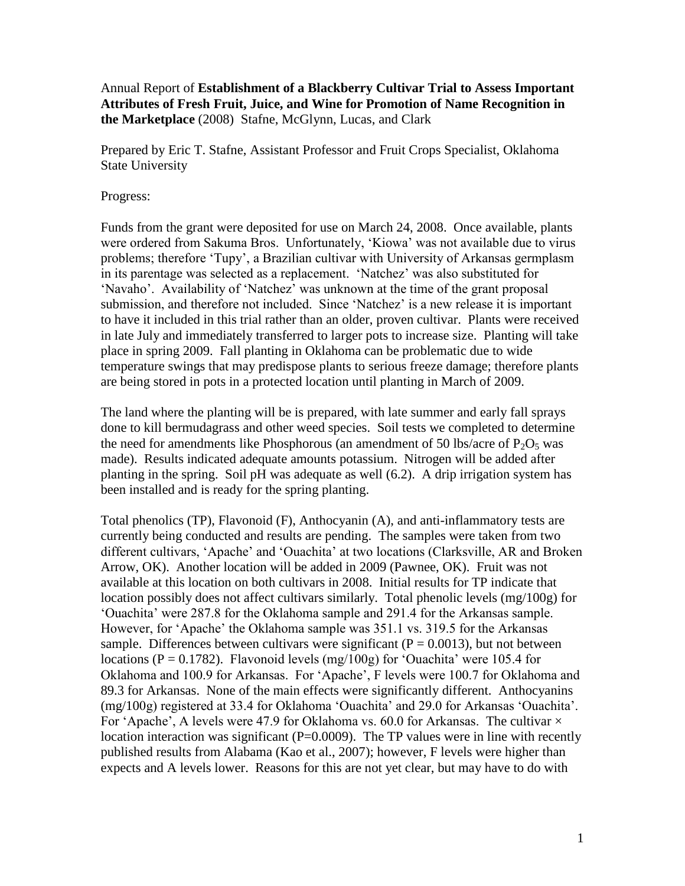Annual Report of **Establishment of a Blackberry Cultivar Trial to Assess Important Attributes of Fresh Fruit, Juice, and Wine for Promotion of Name Recognition in the Marketplace** (2008) Stafne, McGlynn, Lucas, and Clark

Prepared by Eric T. Stafne, Assistant Professor and Fruit Crops Specialist, Oklahoma State University

## Progress:

Funds from the grant were deposited for use on March 24, 2008. Once available, plants were ordered from Sakuma Bros. Unfortunately, 'Kiowa' was not available due to virus problems; therefore 'Tupy', a Brazilian cultivar with University of Arkansas germplasm in its parentage was selected as a replacement. 'Natchez' was also substituted for 'Navaho'. Availability of 'Natchez' was unknown at the time of the grant proposal submission, and therefore not included. Since 'Natchez' is a new release it is important to have it included in this trial rather than an older, proven cultivar. Plants were received in late July and immediately transferred to larger pots to increase size. Planting will take place in spring 2009. Fall planting in Oklahoma can be problematic due to wide temperature swings that may predispose plants to serious freeze damage; therefore plants are being stored in pots in a protected location until planting in March of 2009.

The land where the planting will be is prepared, with late summer and early fall sprays done to kill bermudagrass and other weed species. Soil tests we completed to determine the need for amendments like Phosphorous (an amendment of 50 lbs/acre of  $P_2O_5$  was made). Results indicated adequate amounts potassium. Nitrogen will be added after planting in the spring. Soil pH was adequate as well (6.2). A drip irrigation system has been installed and is ready for the spring planting.

Total phenolics (TP), Flavonoid (F), Anthocyanin (A), and anti-inflammatory tests are currently being conducted and results are pending. The samples were taken from two different cultivars, 'Apache' and 'Ouachita' at two locations (Clarksville, AR and Broken Arrow, OK). Another location will be added in 2009 (Pawnee, OK). Fruit was not available at this location on both cultivars in 2008. Initial results for TP indicate that location possibly does not affect cultivars similarly. Total phenolic levels (mg/100g) for 'Ouachita' were 287.8 for the Oklahoma sample and 291.4 for the Arkansas sample. However, for 'Apache' the Oklahoma sample was 351.1 vs. 319.5 for the Arkansas sample. Differences between cultivars were significant ( $P = 0.0013$ ), but not between locations ( $P = 0.1782$ ). Flavonoid levels (mg/100g) for 'Ouachita' were 105.4 for Oklahoma and 100.9 for Arkansas. For 'Apache', F levels were 100.7 for Oklahoma and 89.3 for Arkansas. None of the main effects were significantly different. Anthocyanins (mg/100g) registered at 33.4 for Oklahoma 'Ouachita' and 29.0 for Arkansas 'Ouachita'. For 'Apache', A levels were 47.9 for Oklahoma vs. 60.0 for Arkansas. The cultivar  $\times$ location interaction was significant (P=0.0009). The TP values were in line with recently published results from Alabama (Kao et al., 2007); however, F levels were higher than expects and A levels lower. Reasons for this are not yet clear, but may have to do with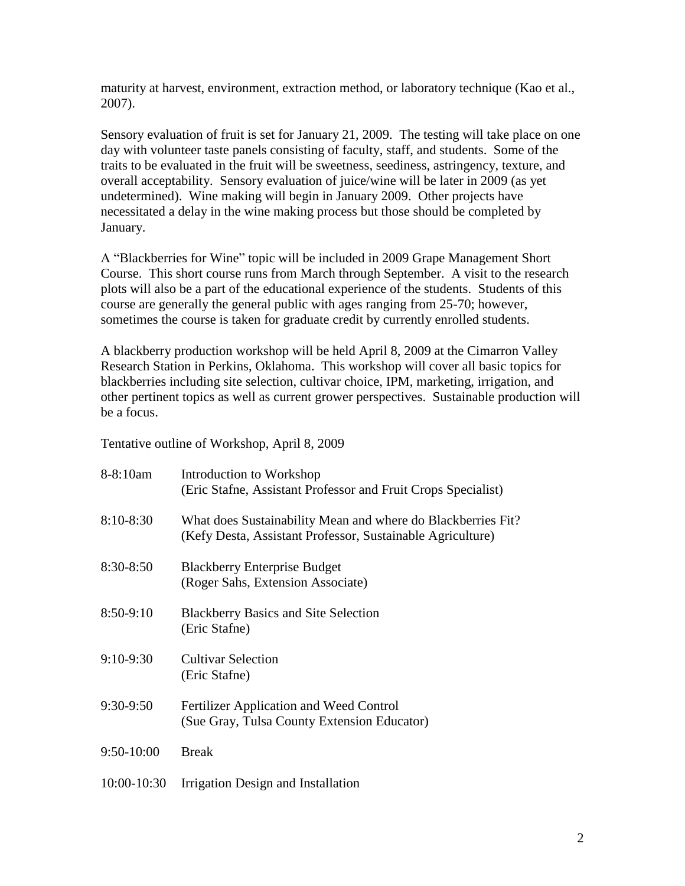maturity at harvest, environment, extraction method, or laboratory technique (Kao et al., 2007).

Sensory evaluation of fruit is set for January 21, 2009. The testing will take place on one day with volunteer taste panels consisting of faculty, staff, and students. Some of the traits to be evaluated in the fruit will be sweetness, seediness, astringency, texture, and overall acceptability. Sensory evaluation of juice/wine will be later in 2009 (as yet undetermined). Wine making will begin in January 2009. Other projects have necessitated a delay in the wine making process but those should be completed by January.

A "Blackberries for Wine" topic will be included in 2009 Grape Management Short Course. This short course runs from March through September. A visit to the research plots will also be a part of the educational experience of the students. Students of this course are generally the general public with ages ranging from 25-70; however, sometimes the course is taken for graduate credit by currently enrolled students.

A blackberry production workshop will be held April 8, 2009 at the Cimarron Valley Research Station in Perkins, Oklahoma. This workshop will cover all basic topics for blackberries including site selection, cultivar choice, IPM, marketing, irrigation, and other pertinent topics as well as current grower perspectives. Sustainable production will be a focus.

Tentative outline of Workshop, April 8, 2009

| 8-8:10am      | Introduction to Workshop<br>(Eric Stafne, Assistant Professor and Fruit Crops Specialist)                                  |
|---------------|----------------------------------------------------------------------------------------------------------------------------|
| $8:10 - 8:30$ | What does Sustainability Mean and where do Blackberries Fit?<br>(Kefy Desta, Assistant Professor, Sustainable Agriculture) |
| 8:30-8:50     | <b>Blackberry Enterprise Budget</b><br>(Roger Sahs, Extension Associate)                                                   |
| $8:50-9:10$   | <b>Blackberry Basics and Site Selection</b><br>(Eric Stafne)                                                               |
| $9:10-9:30$   | <b>Cultivar Selection</b><br>(Eric Stafne)                                                                                 |
| $9:30-9:50$   | Fertilizer Application and Weed Control<br>(Sue Gray, Tulsa County Extension Educator)                                     |
| 9:50-10:00    | <b>Break</b>                                                                                                               |
| 10:00-10:30   | Irrigation Design and Installation                                                                                         |